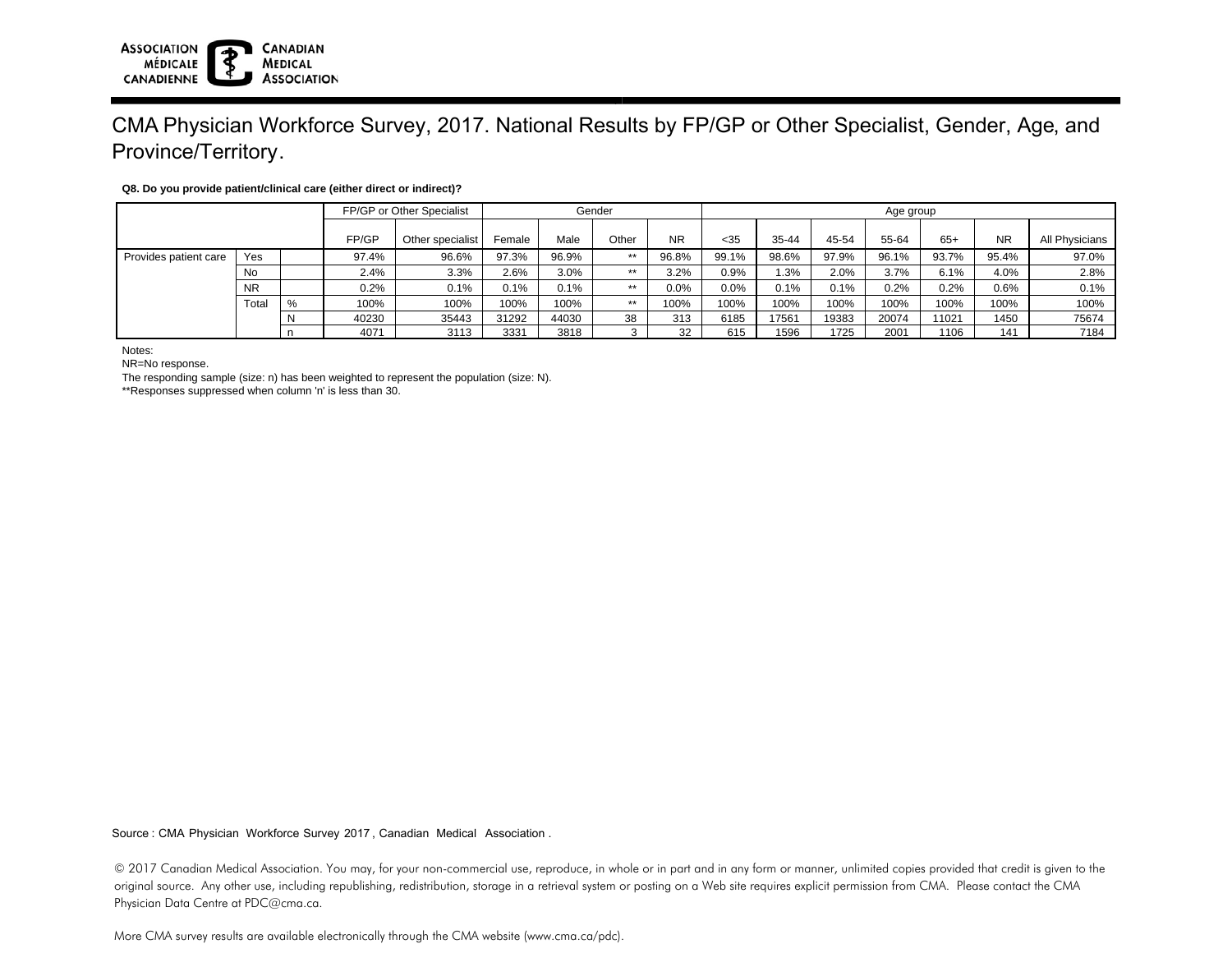# CMA Physician Workforce Survey, 2017. National Results by FP/GP or Other Specialist, Gender, Age, and Province/Territory.

### **Q8. Do you provide patient/clinical care (either direct or indirect)?**

|                       |           | FP/GP or Other Specialist |       | Gender           |        |       |       | Age group |       |           |       |       |       |           |                |
|-----------------------|-----------|---------------------------|-------|------------------|--------|-------|-------|-----------|-------|-----------|-------|-------|-------|-----------|----------------|
|                       |           |                           | FP/GP | Other specialist | Female | Male  | Other | <b>NR</b> | $35$  | $35 - 44$ | 45-54 | 55-64 | 65+   | <b>NR</b> | All Physicians |
| Provides patient care | Yes       |                           | 97.4% | 96.6%            | 97.3%  | 96.9% | $**$  | 96.8%     | 99.1% | 98.6%     | 97.9% | 96.1% | 93.7% | 95.4%     | 97.0%          |
|                       | No        |                           | 2.4%  | 3.3%             | 2.6%   | 3.0%  | $**$  | 3.2%      | 0.9%  | .3%       | 2.0%  | 3.7%  | 6.1%  | 4.0%      | 2.8%           |
|                       | <b>NR</b> |                           | 0.2%  | 0.1%             | 0.1%   | 0.1%  | $**$  | 0.0%      | 0.0%  | 0.1%      | 0.1%  | 0.2%  | 0.2%  | 0.6%      | 0.1%           |
|                       | Total     | %                         | 100%  | 100%             | 100%   | 100%  | $**$  | 100%      | 100%  | 100%      | 100%  | 100%  | 100%  | 100%      | 100%           |
|                       |           |                           | 40230 | 35443            | 31292  | 44030 | 38    | 313       | 6185  | 17561     | 19383 | 20074 | 11021 | 1450      | 75674          |
|                       |           |                           | 4071  | 3113             | 3331   | 3818  |       | 32        | 615   | 1596      | 1725  | 2001  | 1106  | 141       | 7184           |

Notes:

NR=No response.

The responding sample (size: n) has been weighted to represent the population (size: N).

\*\*Responses suppressed when column 'n' is less than 30.

Source : CMA Physician Workforce Survey 2017, Canadian Medical Association .

© 2017 Canadian Medical Association. You may, for your non-commercial use, reproduce, in whole or in part and in any form or manner, unlimited copies provided that credit is given to the original source. Any other use, including republishing, redistribution, storage in a retrieval system or posting on a Web site requires explicit permission from CMA. Please contact the CMA Physician Data Centre at PDC@cma.ca.

More CMA survey results are available electronically through the CMA website (www.cma.ca/pdc).